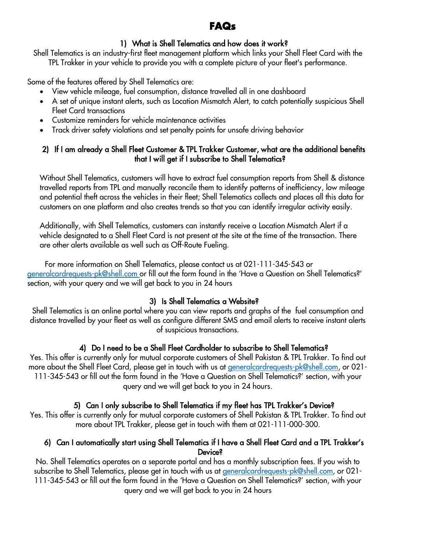# **FAQs**

## 1) What is Shell Telematics and how does it work?

Shell Telematics is an industry-first fleet management platform which links your Shell Fleet Card with the TPL Trakker in your vehicle to provide you with a complete picture of your fleet's performance.

Some of the features offered by Shell Telematics are:

- View vehicle mileage, fuel consumption, distance travelled all in one dashboard
- A set of unique instant alerts, such as Location Mismatch Alert, to catch potentially suspicious Shell Fleet Card transactions
- Customize reminders for vehicle maintenance activities
- Track driver safety violations and set penalty points for unsafe driving behavior

### 2) If I am already a Shell Fleet Customer & TPL Trakker Customer, what are the additional benefits that I will get if I subscribe to Shell Telematics?

Without Shell Telematics, customers will have to extract fuel consumption reports from Shell & distance travelled reports from TPL and manually reconcile them to identify patterns of inefficiency, low mileage and potential theft across the vehicles in their fleet; Shell Telematics collects and places all this data for customers on one platform and also creates trends so that you can identify irregular activity easily.

Additionally, with Shell Telematics, customers can instantly receive a Location Mismatch Alert if a vehicle designated to a Shell Fleet Card is not present at the site at the time of the transaction. There are other alerts available as well such as Off-Route Fueling.

 For more information on Shell Telematics, please contact us at 021-111-345-543 or [generalcardrequests-pk@shell.com](mailto:generalcardrequests-pk@shell.com) or fill out the form found in the 'Have a Question on Shell Telematics?' section, with your query and we will get back to you in 24 hours

# 3) Is Shell Telematics a Website?

Shell Telematics is an online portal where you can view reports and graphs of the fuel consumption and distance travelled by your fleet as well as configure different SMS and email alerts to receive instant alerts of suspicious transactions.

# 4) Do I need to be a Shell Fleet Cardholder to subscribe to Shell Telematics?

Yes. This offer is currently only for mutual corporate customers of Shell Pakistan & TPL Trakker. To find out more about the Shell Fleet Card, please get in touch with us at [generalcardrequests-pk@shell.com,](mailto:generalcardrequests-pk@shell.com) or 021-111-345-543 or fill out the form found in the 'Have a Question on Shell Telematics?' section, with your query and we will get back to you in 24 hours.

# 5) Can I only subscribe to Shell Telematics if my fleet has TPL Trakker's Device?

Yes. This offer is currently only for mutual corporate customers of Shell Pakistan & TPL Trakker. To find out more about TPL Trakker, please get in touch with them at 021-111-000-300.

#### 6) Can I automatically start using Shell Telematics if I have a Shell Fleet Card and a TPL Trakker's Device?

No. Shell Telematics operates on a separate portal and has a monthly subscription fees. If you wish to subscribe to Shell Telematics, please get in touch with us at [generalcardrequests-pk@shell.com,](mailto:generalcardrequests-pk@shell.com) or 021- 111-345-543 or fill out the form found in the 'Have a Question on Shell Telematics?' section, with your query and we will get back to you in 24 hours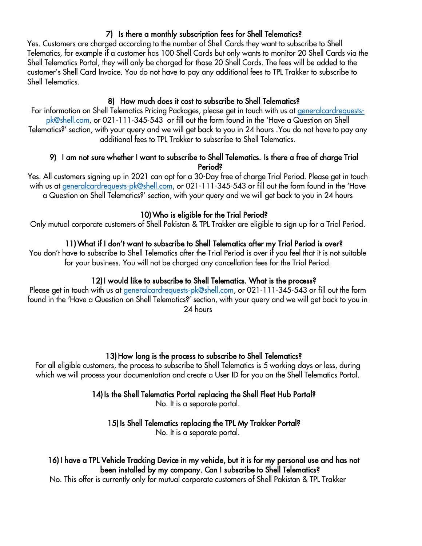#### 7) Is there a monthly subscription fees for Shell Telematics?

Yes. Customers are charged according to the number of Shell Cards they want to subscribe to Shell Telematics, for example if a customer has 100 Shell Cards but only wants to monitor 20 Shell Cards via the Shell Telematics Portal, they will only be charged for those 20 Shell Cards. The fees will be added to the customer's Shell Card Invoice. You do not have to pay any additional fees to TPL Trakker to subscribe to Shell Telematics.

#### 8) How much does it cost to subscribe to Shell Telematics?

For information on Shell Telematics Pricing Packages, please get in touch with us at [generalcardrequests](mailto:generalcardrequests-pk@shell.com)[pk@shell.com,](mailto:generalcardrequests-pk@shell.com) or 021-111-345-543 or fill out the form found in the 'Have a Question on Shell Telematics?' section, with your query and we will get back to you in 24 hours .You do not have to pay any additional fees to TPL Trakker to subscribe to Shell Telematics.

#### 9) I am not sure whether I want to subscribe to Shell Telematics. Is there a free of charge Trial Period?

Yes. All customers signing up in 2021 can opt for a 30-Day free of charge Trial Period. Please get in touch with us at [generalcardrequests-pk@shell.com,](mailto:generalcardrequests-pk@shell.com) or 021-111-345-543 or fill out the form found in the 'Have a Question on Shell Telematics?' section, with your query and we will get back to you in 24 hours

#### 10) Who is eligible for the Trial Period?

Only mutual corporate customers of Shell Pakistan & TPL Trakker are eligible to sign up for a Trial Period.

#### 11) What if I don't want to subscribe to Shell Telematics after my Trial Period is over?

You don't have to subscribe to Shell Telematics after the Trial Period is over if you feel that it is not suitable for your business. You will not be charged any cancellation fees for the Trial Period.

## 12) I would like to subscribe to Shell Telematics. What is the process?

Please get in touch with us at [generalcardrequests-pk@shell.com,](mailto:generalcardrequests-pk@shell.com) or 021-111-345-543 or fill out the form found in the 'Have a Question on Shell Telematics?' section, with your query and we will get back to you in 24 hours

## 13) How long is the process to subscribe to Shell Telematics?

For all eligible customers, the process to subscribe to Shell Telematics is 5 working days or less, during which we will process your documentation and create a User ID for you on the Shell Telematics Portal.

#### 14) Is the Shell Telematics Portal replacing the Shell Fleet Hub Portal?

No. It is a separate portal.

#### 15) Is Shell Telematics replacing the TPL My Trakker Portal?

No. It is a separate portal.

# 16) I have a TPL Vehicle Tracking Device in my vehicle, but it is for my personal use and has not been installed by my company. Can I subscribe to Shell Telematics?

No. This offer is currently only for mutual corporate customers of Shell Pakistan & TPL Trakker